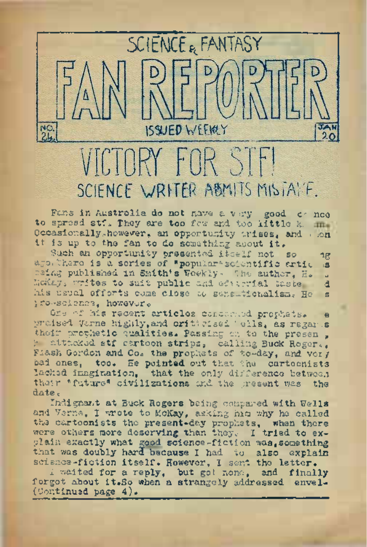$\vert \cdot \vert$ SCIENCE WRITER ABOUTS MISTAVE.

ISSUED WEFINY

SCIENCE<sub>R</sub> FANTASY

Fans in Australia do not nave a very good *c-* nee to spread stf. They are too few and too little k. ..... Occasionally.however, an opportunity arises, and lien it is up to the fan to do something about it.

 $^{10}_{21}$ 

Such an opportunity presented itself not so ng ago. There is a series of "popular" scientific artic is 'being published in Smith's Weekly<sup>e</sup> The author, <sup>H</sup><sup>e</sup> <sup>o</sup> McKays writes to suit public and editorial tasted definition of his usual efforts come close to sensationalism. He pro-science, however.

Ore of his recent articles concerned prophets. praised Varne highly, and criticised 'ells, as regards their prophetic qualities. Passing on to the presen, ) attacked stf cartoon strips, calling Buck Roger., Flash Gordon and Co, the prophets of to-day, and very bad ones, too. He pointed out that the cartoonists lacked imagination, that the only difference between their \*future" civilizations and the present was the date.

Indignant at Buck Rogers being compared with Wells and Verne, I wrote to McKay, asking him why ho called the cartoonists the present-day prophets, when there were others more deserving than they. I tried to explain exactly what good science-fiction was,something that was doubly hard because I had to also explain science-fiction itself. However, I sent the letter.

I waited for a reply, but got none, and finally forgot about it.So when a strangely addressed envel-(Continued page 4).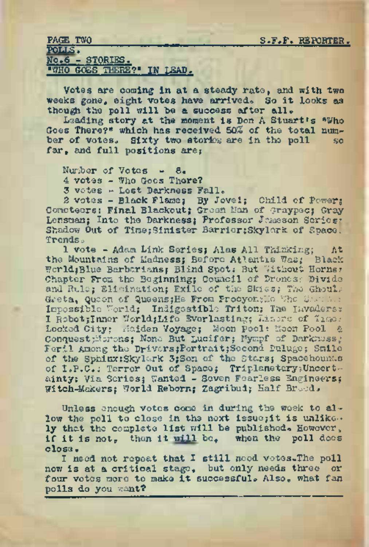### PAGE TWO , S.F.F. REPORTER. POLLS. No.6 - STORIES. "WHO GOES THERE?" IN LEAD.

Votes are coming in at a steady rate, and with two weeks gone, eight votes have arrived. So it looks as though the poll will be a success after all.

Leading story at the moment is Don <sup>A</sup> Stuart's "Who Goes There?" which has received 50% of the total num-<br>ber of votes. Sixty two stories are in the poll so ber of votes. Sixty two stories are in the poll far, and full positions are:

Number of Votes - 8.

4 votes - Who Goos There?

3 votes - Lost Darkness Fall.

2 votes - Black Flame; By Jove1; Child of Power; Cometeers; Final Blackout; Green Man of Graypec; Gray Lensman; Into the Darkness; Professor Jameson Series? Shadow Out of Time; Sinister Barrier; Skylark of Space. Trends \*

<sup>1</sup> vote - Adam Link Series; Alas All Thinking; At the Mountains of Madness; Before Atlantis Was; Black World; Blue Barbarians; Blind Spot: But Without Horns? Chapter From the Beginning; Council of Drones; Divide and Rule: Elimination; Exile of the Skies; The Ghoul; Greta, Queen of Queens; He From Procyon; He Who Showshe Impossible World; Indigestible Triton; The invaders? I Robot; Inner World; Life Everlasting; Liners of Time: Locked City: Maiden Voyage; Moon Pool: Moon Pool & Conquest;Morons; None But Lucifer; Mympf of Darkness; Peril Among the Driversportrait;Second Deluge; Smile of the Sphinx:Skylark 3:Son of the Stars; Spacehounds of I.P.C.; Terror Out of Space; Triplanetary; Uncertainty; Via Scries; Wanted - Seven Fearless Engineers; Witch-Makers; World Reborn; Zagribud; Half Breed,

Unless enough votes come in during the week to allow the poll to close in the next issue; it is unlike ly that the complete list will be published. However, if it is not. then it will be, when the poll does close\*

I need not repeat that I still need votes.The poll now is at a critical stage, but only needs three or four votes more to make it successful. Also, what fan polls do you want?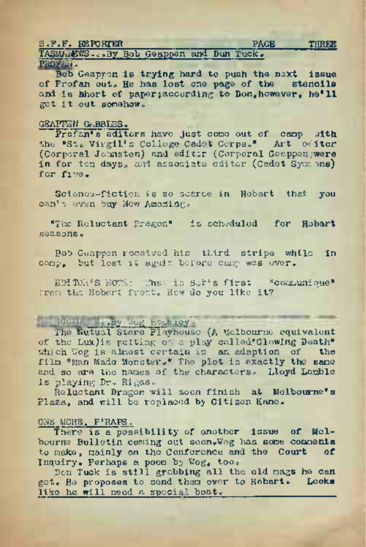### S.F.F,, REPORTER\_\_\_\_\_\_\_\_\_ \_\_\_\_\_\_\_\_\_\_\_\_\_PAGE\_\_\_\_\_\_\_\_\_ THREE

TASMARWS-caBy Bob Geappen and Dun Tuck. PROF<sub>AN-</sub>

Bob Geappen is trying hard to push the next issue of Profan out, He has lost one page of the stencils and. is hhort of paper;according to Don,however, he\* **<sup>11</sup>** get it out somehow.

### GEAPPEN GABBLES.

Profan's editors have just come out of camp with the "St. Virgil's College Cadet Corps." Art editor (Corporal Johnston) and editor (Corporal Geappen.jwere in for ten days, and associate editor (Cadet Symphs) for five.

Science-fiction is so scarce in Hobart that you can't even buy New Amazing.

"The Reluctant Dragon" is scheduled for Hobart seasons ®

Bob Geappen received his third stripe while in camp. but lost it again before camp was over.

EDITOR'<sup>S</sup> NOTEs That is Bob's first "communique" from the Hobart front. How do you like it?

## 10um By Vog Ecokiey'

The Mutual Store Playhouse (A Melbourne equivalent of the Lux)is putting or. a play called\*Glowing Death" which Gog is almost certain is an adaption of the film "Man Made Monster." The plot is exactly the same and so are the names of the characters. Lloyd Lamble is playing Dr. Rigas.

Reluctant Dragon will soon finish at Melbourne's Plaza, and will be replaced by Citizen Kane.

### ONE MORE, P'RAPS.

There is a possibility of another issue of Melbourne Bulletin coming out soon. Wog has some comments to make. mainly on the Conference and the Court of to make, mainly on the Conference and the Court Inquiry. Perhaps a poem by Wog, too.<br>Don Tuck is still grabbing all the old mags he can

get. He proposes to send them over to Hobart. Looks like he will need a special boat.